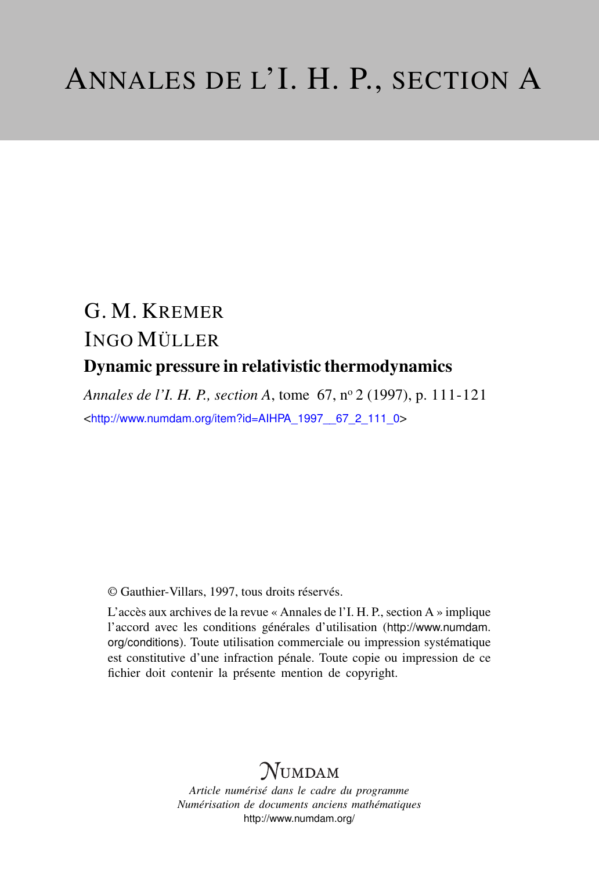# G. M. KREMER INGO MÜLLER Dynamic pressure in relativistic thermodynamics

*Annales de l'I. H. P., section A*, tome 67, n<sup>o</sup> 2 (1997), p. 111-121 <[http://www.numdam.org/item?id=AIHPA\\_1997\\_\\_67\\_2\\_111\\_0](http://www.numdam.org/item?id=AIHPA_1997__67_2_111_0)>

© Gauthier-Villars, 1997, tous droits réservés.

L'accès aux archives de la revue « Annales de l'I. H. P., section A » implique l'accord avec les conditions générales d'utilisation ([http://www.numdam.](http://www.numdam.org/conditions) [org/conditions](http://www.numdam.org/conditions)). Toute utilisation commerciale ou impression systématique est constitutive d'une infraction pénale. Toute copie ou impression de ce fichier doit contenir la présente mention de copyright.

# $N$ UMDAM

*Article numérisé dans le cadre du programme Numérisation de documents anciens mathématiques* <http://www.numdam.org/>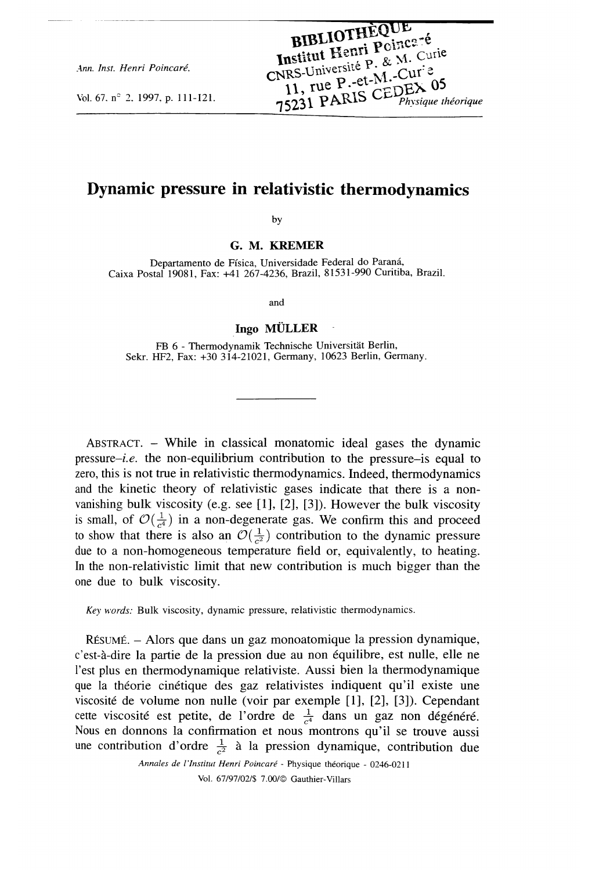Ann. Inst. Henri Poincaré,

Vol. 67, n° 2, 1997, p. 111-121.

## Dynamic pressure in relativistic thermodynamics

by

G. M. KREMER

Departamento de Física, Universidade Federal do Paraná, Caixa Postal 19081, Fax: +41 267-4236, Brazil, 81531-990 Curitiba, Brazil.

and

#### Ingo MÜLLER

FB 6 - Thermodynamik Technische Universität Berlin, Sekr. HF2, Fax: +30 314-21021, Germany, 10623 Berlin, Germany.

ABSTRACT. - While in classical monatomic ideal gases the dynamic pressure-i.e. the non-equilibrium contribution to the pressure-is equal to zero, this is not true in relativistic thermodynamics. Indeed, thermodynamics and the kinetic theory of relativistic gases indicate that there is a nonvanishing bulk viscosity (e.g. see [1], [2], [3]). However the bulk viscosity is small, of  $\mathcal{O}(\frac{1}{c^4})$  in a non-degenerate gas. We confirm this and proceed to show that there is also an  $\mathcal{O}(\frac{1}{\epsilon^2})$  contribution to the dynamic pressure due to a non-homogeneous temperature field or, equivalently, to heating. In the non-relativistic limit that new contribution is much bigger than the one due to bulk viscosity.

Key words: Bulk viscosity, dynamic pressure, relativistic thermodynamics.

RESUME. - Alors que dans un gaz monoatomique la pression dynamique, c'est-a-dire la partie de la pression due au non equilibre, est nulle, elle ne l'est plus en thermodynamique relativiste. Aussi bien la thermodynamique que la théorie cinétique des gaz relativistes indiquent qu'il existe une viscosité de volume non nulle (voir par exemple [1], [2], [3]). Cependant cette viscosité est petite, de l'ordre de  $\frac{1}{c^4}$  dans un gaz non dégénéré. Nous en donnons la confirmation et nous montrons qu'il se trouve aussi une contribution d'ordre  $\frac{1}{6}$  à la pression dynamique, contribution due

> Annales de l'Institut Henri Poincaré - Physique théorique - 0246-0211 Vol. 67/97/02/\$ 7.00/© Gauthier-Villars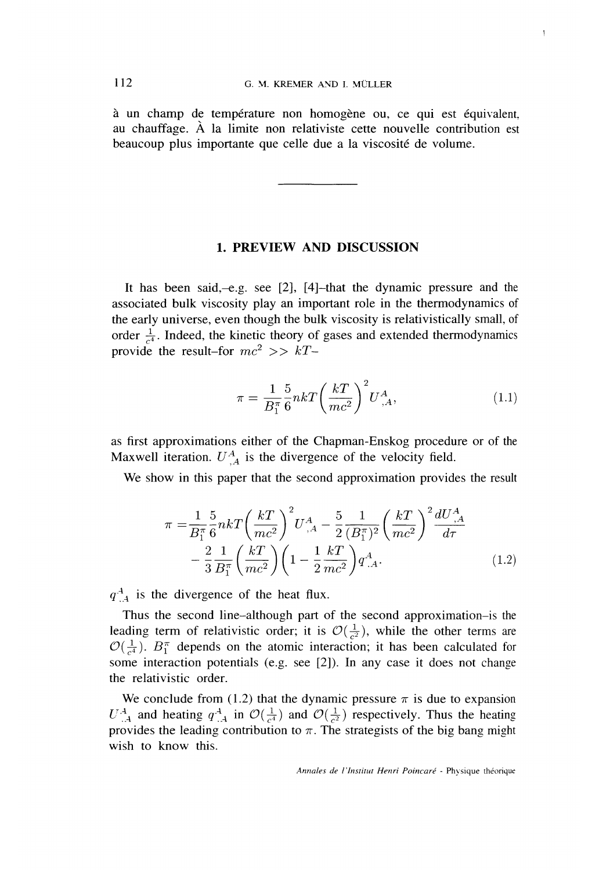a un champ de temperature non homogene ou, ce qui est equivalent. au chauffage. A la limite non relativiste cette nouvelle contribution est beaucoup plus importante que celle due a la viscosite de volume.

### 1. PREVIEW AND DISCUSSION

It has been said,-e.g. see [2], [4]-that the dynamic pressure and the associated bulk viscosity play an important role in the thermodynamics of the early universe, even though the bulk viscosity is relativistically small, of order  $\frac{1}{c^4}$ . Indeed, the kinetic theory of gases and extended thermodynamics provide the result-for  $mc^2 >> kT$ -

$$
\pi = \frac{1}{B_1^{\pi}} \frac{5}{6} n k T \left(\frac{kT}{mc^2}\right)^2 U_{,A}^A, \tag{1.1}
$$

as first approximations either of the Chapman-Enskog procedure or of the Maxwell iteration.  $U^A_{,A}$  is the divergence of the velocity field.

We show in this paper that the second approximation provides the result

$$
\pi = \frac{1}{B_1^{\pi}} \frac{5}{6} n k T \left(\frac{kT}{mc^2}\right)^2 U_{,A}^A - \frac{5}{2} \frac{1}{(B_1^{\pi})^2} \left(\frac{kT}{mc^2}\right)^2 \frac{dU_{,A}^A}{d\tau} \n- \frac{2}{3} \frac{1}{B_1^{\pi}} \left(\frac{kT}{mc^2}\right) \left(1 - \frac{1}{2} \frac{kT}{mc^2}\right) q_{,A}^A.
$$
\n(1.2)

 $q<sup>-4</sup>$  is the divergence of the heat flux.

Thus the second line-although part of the second approximation-is the leading term of relativistic order; it is  $\mathcal{O}(\frac{1}{c^2})$ , while the other terms are  $\mathcal{O}(\frac{1}{c^4})$ .  $B_1^{\pi}$  depends on the atomic interaction; it has been calculated for some interaction potentials (e.g. see [2]). In any case it does not change the relativistic order.

We conclude from (1.2) that the dynamic pressure  $\pi$  is due to expansion  $U^A_{~\cdot A}$  and heating  $q^A_{~\cdot A}$  in  $\mathcal{O}(\frac{1}{c^4})$  and  $\mathcal{O}(\frac{1}{c^2})$  respectively. Thus the heating provides the leading contribution to  $\pi$ . The strategists of the big bang might wish to know this.

Annales de l'Institut Henri Poincaré - Physique théorique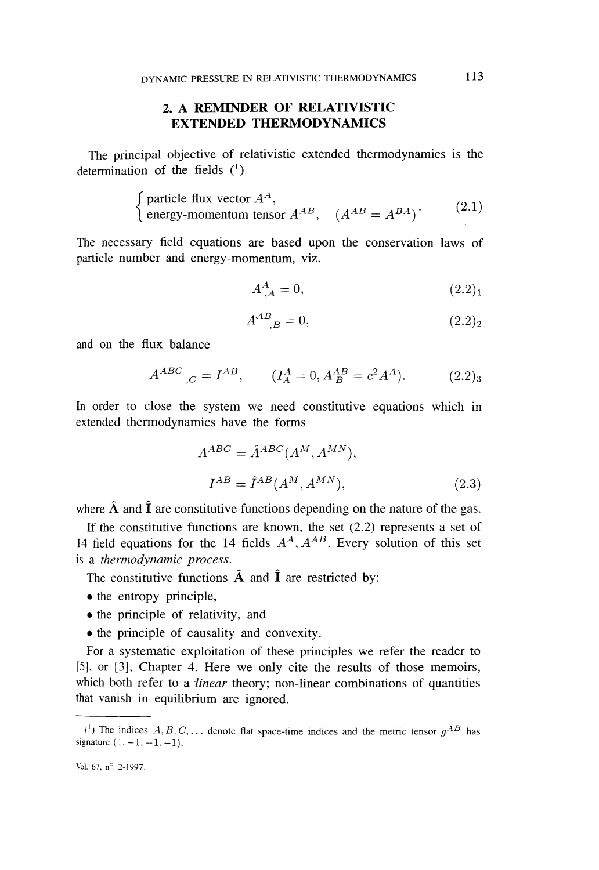## 2. A REMINDER OF RELATIVISTIC EXTENDED THERMODYNAMICS

The principal objective of relativistic extended thermodynamics is the determination of the fields  $(1)$ 

particle flux vector  $A^{A}$ ,<br>
energy-momentum tensor  $A^{AB}$ ,  $(A^{AB} = A^{BA})$  (2.1)

The necessary field equations are based upon the conservation laws of particle number and energy-momentum, viz.

$$
A_{,A}^A = 0,\t\t(2.2)_1
$$

$$
A^{AB}_{\quad \, ,B} = 0,\tag{2.2}_2
$$

and on the flux balance

$$
A^{ABC}_{,C} = I^{AB}, \t\t (I_A^A = 0, A_B^{AB} = c^2 A^A). \t\t (2.2)_3
$$

In order to close the system we need constitutive equations which in extended thermodynamics have the forms

$$
A^{ABC} = \hat{A}^{ABC} (A^M, A^{MN}),
$$
  
\n
$$
I^{AB} = \hat{I}^{AB} (A^M, A^{MN}),
$$
\n(2.3)

where  $\hat{A}$  and  $\hat{I}$  are constitutive functions depending on the nature of the gas.

If the constitutive functions are known, the set  $(2.2)$  represents a set of 14 field equations for the 14 fields  $A^A$ ,  $A^{AB}$ . Every solution of this set is a thermodynamic process.

The constitutive functions  $\hat{A}$  and  $\hat{I}$  are restricted by:

- the entropy principle,
- the principle of relativity, and
- . the principle of causality and convexity.

For a systematic exploitation of these principles we refer the reader to [5], or [3], Chapter 4. Here we only cite the results of those memoirs, which both refer to a *linear* theory; non-linear combinations of quantities that vanish in equilibrium are ignored.

<sup>&</sup>lt;sup>(1</sup>) The indices  $A, B, C, \ldots$  denote flat space-time indices and the metric tensor  $g^{AB}$  has signature  $(1, -1, -1, -1)$ .

Vol. 67, n" 2-1997.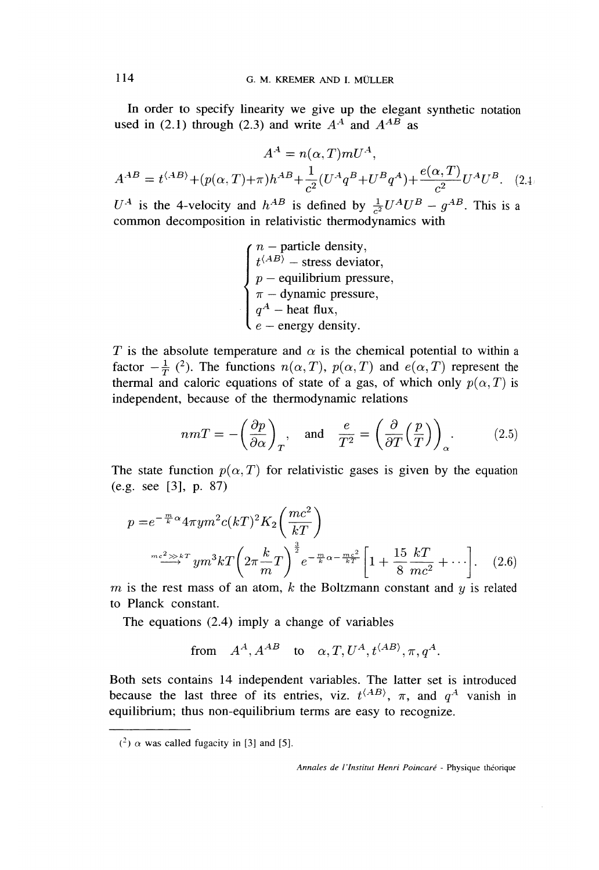In order to specify linearity we give up the elegant synthetic notation used in (2.1) through (2.3) and write  $A^A$  and  $A^{AB}$  as

$$
A^{A} = n(\alpha, T) m U^{A},
$$
  

$$
A^{AB} = t^{\langle AB \rangle} + (p(\alpha, T) + \pi) h^{AB} + \frac{1}{c^{2}} (U^{A} q^{B} + U^{B} q^{A}) + \frac{e(\alpha, T)}{c^{2}} U^{A} U^{B}. \quad (2.4)
$$

 $U^A$  is the 4-velocity and  $h^{AB}$  is defined by  $\frac{1}{c^2}U^A U^B - g^{AB}$ . This is a common decomposition in relativistic thermodynamics with

> $\int n -$  particle density, stress deviator,  $p$  – equilibrium pressure,  $\pi$  – dynamic pressure,  $q^4$  – heat flux,  $e$  – energy density.

T is the absolute temperature and  $\alpha$  is the chemical potential to within a factor  $-\frac{1}{T}$  (<sup>2</sup>). The functions  $n(\alpha, T)$ ,  $p(\alpha, T)$  and  $e(\alpha, T)$  represent the thermal and caloric equations of state of a gas, of which only  $p(\alpha, T)$  is independent, because of the thermodynamic relations

$$
nmT = -\left(\frac{\partial p}{\partial \alpha}\right)_T, \text{ and } \frac{e}{T^2} = \left(\frac{\partial}{\partial T}\left(\frac{p}{T}\right)\right)_\alpha. \tag{2.5}
$$

The state function  $p(\alpha, T)$  for relativistic gases is given by the equation (e.g. see [3], p. 87)

$$
p = e^{-\frac{m}{k}\alpha} 4\pi y m^2 c(kT)^2 K_2 \left(\frac{mc^2}{kT}\right)
$$

$$
e^{-\frac{mc^2}{kT}} y m^3 k T \left(2\pi \frac{k}{m} T\right)^{\frac{3}{2}} e^{-\frac{m}{k}\alpha - \frac{mc^2}{kT}} \left[1 + \frac{15}{8} \frac{kT}{mc^2} + \cdots\right].
$$
 (2.6)

m is the rest mass of an atom, k the Boltzmann constant and  $\upsilon$  is related to Planck constant.

The equations (2.4) imply a change of variables

from 
$$
A^A
$$
,  $A^{AB}$  to  $\alpha$ ,  $T$ ,  $U^A$ ,  $t^{\langle AB \rangle}$ ,  $\pi$ ,  $q^A$ .

Both sets contains 14 independent variables. The latter set is introduced because the last three of its entries, viz.  $t^{\langle AB \rangle}$ ,  $\pi$ , and  $q^A$  vanish in equilibrium; thus non-equilibrium terms are easy to recognize.

Annales de l'Institut Henri Poincaré - Physique théorique

 $(2)$   $\alpha$  was called fugacity in [3] and [5].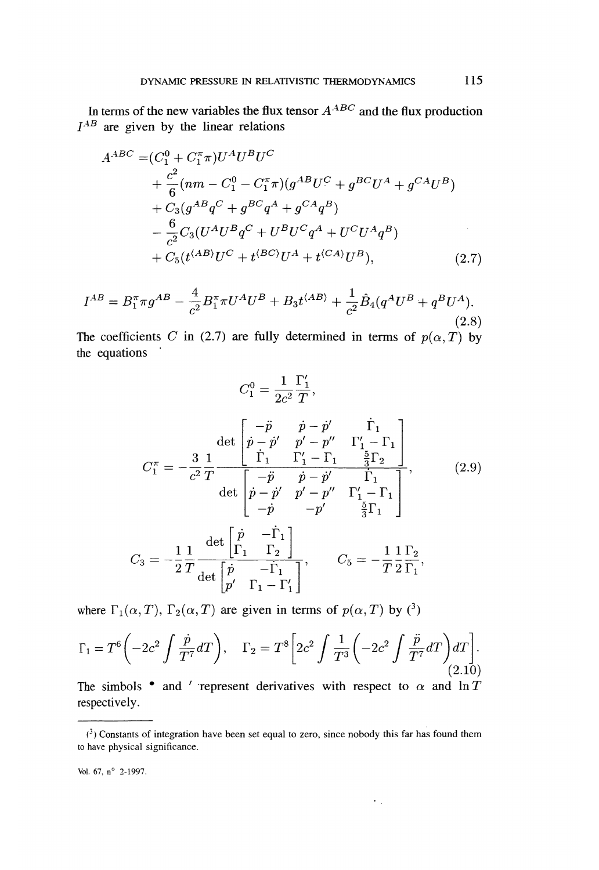In terms of the new variables the flux tensor  $A^{ABC}$  and the flux production  $I^{AB}$  are given by the linear relations

$$
A^{ABC} = (C_1^0 + C_1^{\pi} \pi) U^A U^B U^C
$$
  
+  $\frac{c^2}{6} (nm - C_1^0 - C_1^{\pi} \pi) (g^{AB} U^C + g^{BC} U^A + g^{CA} U^B)$   
+  $C_3 (g^{AB} q^C + g^{BC} q^A + g^{CA} q^B)$   
-  $\frac{6}{c^2} C_3 (U^A U^B q^C + U^B U^C q^A + U^C U^A q^B)$   
+  $C_5 (t^{(AB)} U^C + t^{(BC)} U^A + t^{(CA)} U^B),$  (2.7)

$$
I^{AB} = B_1^{\pi} \pi g^{AB} - \frac{4}{c^2} B_1^{\pi} \pi U^A U^B + B_3 t^{\langle AB \rangle} + \frac{1}{c^2} \hat{B}_4 (q^A U^B + q^B U^A).
$$
\n(2.8)

The coefficients C in (2.7) are fully determined in terms of  $p(\alpha, T)$  by the equations

$$
C_1^0 = \frac{1}{2c^2} \frac{\Gamma'_1}{T},
$$
  
\n
$$
C_1^{\pi} = -\frac{3}{c^2} \frac{1}{T} \frac{\det \begin{bmatrix} -\ddot{p} & \dot{p} - \dot{p}' & \dot{\Gamma}_1 \\ \dot{p} - \dot{p}' & p' - p'' & \Gamma'_1 - \Gamma_1 \end{bmatrix}}{\det \begin{bmatrix} -\ddot{p} & \dot{p} - \dot{p}' & \dot{\Gamma}_1 \\ \dot{p} - \dot{p}' & p' - p'' & \dot{\Gamma}_1 \\ -\ddot{p} & -p' & \frac{5}{3} \Gamma_1 \end{bmatrix}},
$$
(2.9)  
\n
$$
C_3 = -\frac{1}{2} \frac{1}{T} \frac{\det \begin{bmatrix} \dot{p} & -\dot{\Gamma}_1 \\ \Gamma_1 & \Gamma_2 \end{bmatrix}}{\det \begin{bmatrix} \dot{p} & -\dot{\Gamma}_1 \\ p' & \Gamma_1 - \Gamma'_1 \end{bmatrix}},
$$
  
\n
$$
C_5 = -\frac{1}{T} \frac{1}{2} \frac{\Gamma_2}{\Gamma_1},
$$

where  $\Gamma_1(\alpha, T)$ ,  $\Gamma_2(\alpha, T)$  are given in terms of  $p(\alpha, T)$  by  $(3)$ 

$$
\Gamma_1 = T^6 \left( -2c^2 \int \frac{\dot{p}}{T^7} dT \right), \quad \Gamma_2 = T^8 \left[ 2c^2 \int \frac{1}{T^3} \left( -2c^2 \int \frac{\ddot{p}}{T^7} dT \right) dT \right].
$$
\n(2.10)

The simbols • and ' represent derivatives with respect to  $\alpha$  and  $\ln T$ respectively.

 $\epsilon_{\rm{eff}}$ 

Vol. 67, n° 2-1997.

 $(3)$  Constants of integration have been set equal to zero, since nobody this far has found them to have physical significance.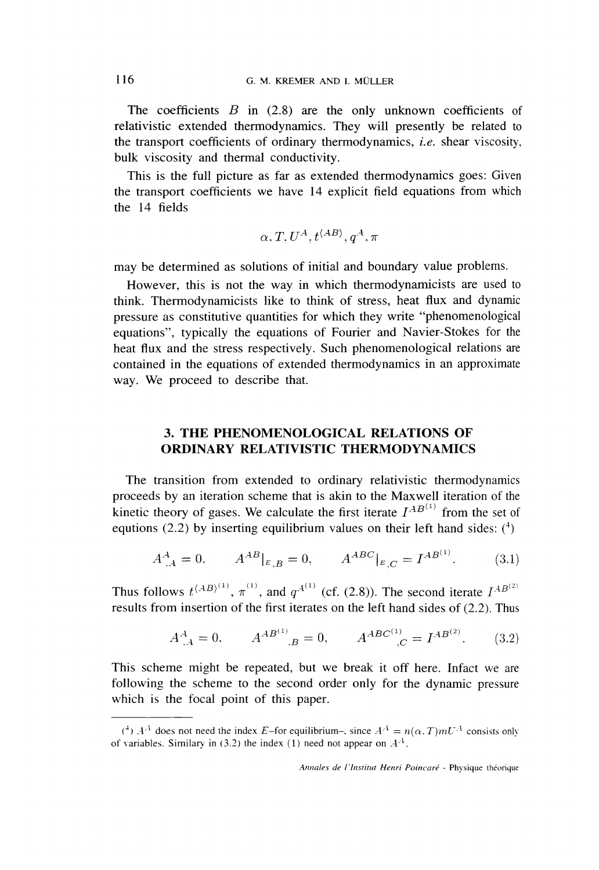The coefficients  $B$  in (2.8) are the only unknown coefficients of relativistic extended thermodynamics. They will presently be related to the transport coefficients of ordinary thermodynamics, *i.e.* shear viscosity, bulk viscosity and thermal conductivity.

This is the full picture as far as extended thermodynamics goes: Given the transport coefficients we have 14 explicit field equations from which the 14 fields

$$
\alpha, T, U^A, t^{\langle AB \rangle}, q^A, \pi
$$

may be determined as solutions of initial and boundary value problems.

However, this is not the way in which thermodynamicists are used to think. Thermodynamicists like to think of stress, heat flux and dynamic pressure as constitutive quantities for which they write "phenomenological equations", typically the equations of Fourier and Navier-Stokes for the heat flux and the stress respectively. Such phenomenological relations are contained in the equations of extended thermodynamics in an approximate way. We proceed to describe that.

## 3. THE PHENOMENOLOGICAL RELATIONS OF ORDINARY RELATIVISTIC THERMODYNAMICS

The transition from extended to ordinary relativistic thermodynamics proceeds by an iteration scheme that is akin to the Maxwell iteration of the kinetic theory of gases. We calculate the first iterate  $I^{AB^{(1)}}$  from the set of equtions (2.2) by inserting equilibrium values on their left hand sides:  $(^4)$ 

$$
A^A_{,A} = 0, \qquad A^{AB}|_{E,B} = 0, \qquad A^{ABC}|_{E,C} = I^{AB^{(1)}}.
$$
 (3.1)

Thus follows  $t^{(AB)^{(1)}}, \pi^{(1)}$ , and  $q^{A^{(1)}}$  (cf. (2.8)). The second iterate  $I^{AB^{(2)}}$ results from insertion of the first iterates on the left hand sides of (2.2). Thus

$$
A^A_{,A} = 0, \qquad A^{AB^{(1)}}_{\quad, B} = 0, \qquad A^{ABC^{(1)}}_{\quad, C} = I^{AB^{(2)}}.
$$
 (3.2)

This scheme might be repeated, but we break it off here. Infact we are following the scheme to the second order only for the dynamic pressure which is the focal point of this paper.

 $(+)$   $A^{A}$  does not need the index E-for equilibrium-, since  $A^{A} = n(\alpha, T) m U^{A}$  consists only of variables. Similary in (3.2) the index (1) need not appear on  $A<sup>A</sup>$ .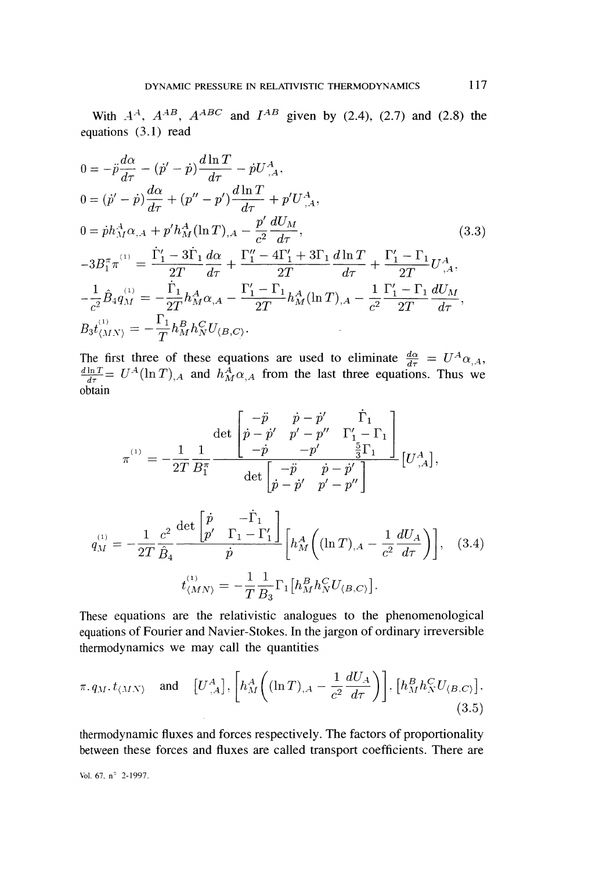With  $A^A$ ,  $A^{AB}$ ,  $A^{ABC}$  and  $I^{AB}$  given by (2.4), (2.7) and (2.8) the equations  $(3.1)$  read

$$
0 = -\ddot{p}\frac{d\alpha}{d\tau} - (\dot{p}' - \dot{p})\frac{d\ln T}{d\tau} - \dot{p}U_{,A}^{A},
$$
  
\n
$$
0 = (\dot{p}' - \dot{p})\frac{d\alpha}{d\tau} + (p'' - p')\frac{d\ln T}{d\tau} + p'U_{,A}^{A},
$$
  
\n
$$
0 = \dot{p}h_{M}^{A}\alpha_{,A} + p'h_{M}^{A}(\ln T)_{,A} - \frac{p'}{c^{2}}\frac{dU_{M}}{d\tau},
$$
  
\n
$$
-3B_{1}^{\pi}\pi^{(1)} = \frac{\dot{\Gamma}_{1}' - 3\dot{\Gamma}_{1}}{2T}\frac{d\alpha}{d\tau} + \frac{\Gamma_{1}'' - 4\Gamma_{1}' + 3\Gamma_{1}}{2T}\frac{d\ln T}{d\tau} + \frac{\Gamma_{1}' - \Gamma_{1}}{2T}U_{,A}^{A},
$$
  
\n
$$
-\frac{1}{c^{2}}\hat{B}_{4}q_{M}^{(1)} = -\frac{\dot{\Gamma}_{1}}{2T}h_{M}^{A}\alpha_{,A} - \frac{\Gamma_{1}' - \Gamma_{1}}{2T}h_{M}^{A}(\ln T)_{,A} - \frac{1}{c^{2}}\frac{\Gamma_{1}' - \Gamma_{1}}{2T}\frac{dU_{M}}{d\tau},
$$
  
\n
$$
B_{3}t_{\langle MN\rangle}^{(1)} = -\frac{\Gamma_{1}}{T}h_{M}^{B}h_{N}^{C}U_{\langle B,C\rangle}.
$$
  
\n(3.3)

The first three of these equations are used to eliminate  $\frac{d\alpha}{d\tau}$  = and  $h_{M}^{A} \alpha_{A}$  from the last three equations. Thus we obtain

$$
\pi^{^{(1)}} = -\frac{1}{2T} \frac{1}{B_1^{\pi}} \frac{\det \begin{bmatrix} -\ddot{p} & \dot{p} - \dot{p}' & \dot{\Gamma}_1 \\ \dot{p} - \dot{p}' & p' - p'' & \Gamma'_1 - \Gamma_1 \\ -\dot{p} & -p' & \frac{5}{3}\Gamma_1 \end{bmatrix}}{\det \begin{bmatrix} -\ddot{p} & \dot{p} - \dot{p}' \\ \dot{p} - \dot{p}' & p' - p'' \end{bmatrix}} \begin{bmatrix} U^A_{\ ,A} \end{bmatrix},
$$

$$
q_M^{(1)} = -\frac{1}{2T} \frac{c^2}{\hat{B}_4} \frac{\det\begin{bmatrix} \dot{p} & -\dot{\Gamma}_1 \\ p' & \Gamma_1 - \Gamma_1' \end{bmatrix}}{\dot{p}} \Bigg[ h_M^A \Big( (\ln T)_{,A} - \frac{1}{c^2} \frac{dU_A}{d\tau} \Big) \Bigg], \quad (3.4)
$$

$$
t_{\langle MN \rangle}^{(1)} = -\frac{1}{T} \frac{1}{B_3} \Gamma_1 \Big[ h_M^B h_N^C U_{\langle B, C \rangle} \Big].
$$

These equations are the relativistic analogues to the phenomenological equations of Fourier and Navier-Stokes. In the jargon of ordinary irreversible thermodynamics we may call the quantities

$$
\pi. q_M. t_{\langle MN \rangle} \quad \text{and} \quad \left[ U^A_{\ ,A} \right], \left[ h^A_M \left( (\ln T)_{,A} - \frac{1}{c^2} \frac{dU_A}{d\tau} \right) \right], \left[ h^B_M h^C_N U_{\langle B,C \rangle} \right], \tag{3.5}
$$

thermodynamic fluxes and forces respectively. The factors of proportionality between these forces and fluxes are called transport coefficients. There are

Vol. 67,  $n^{\circ}$  2-1997.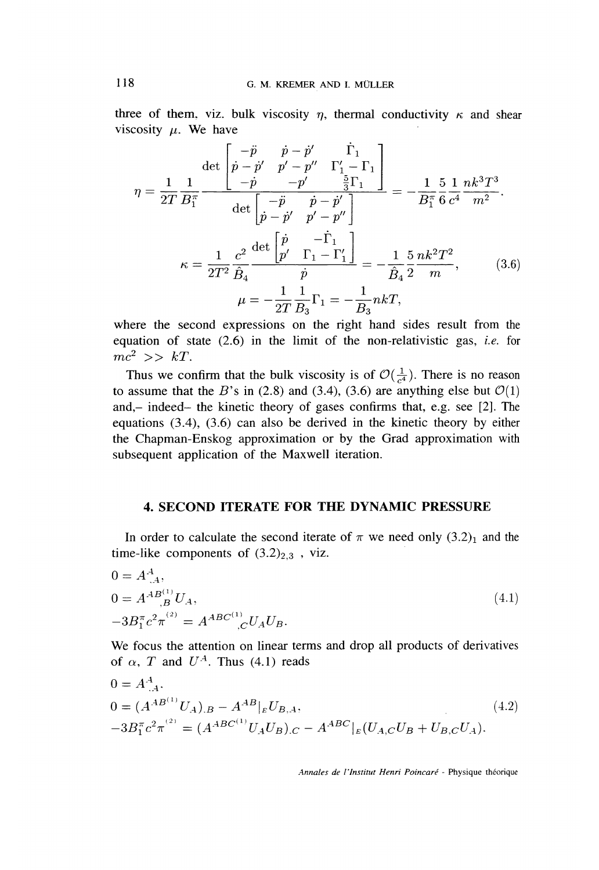three of them, viz. bulk viscosity  $\eta$ , thermal conductivity  $\kappa$  and shear viscosity  $\mu$ . We have

$$
\eta = \frac{1}{2T} \frac{1}{B_1^{\pi}} \frac{\det\begin{bmatrix} -\ddot{p} & \dot{p} - \dot{p}' & \dot{\Gamma}_1 \\ \dot{p} - \dot{p}' & p' - p'' & \Gamma'_1 - \Gamma_1 \\ -\dot{p} & -p' & \frac{5}{3}\Gamma_1 \end{bmatrix}}{\det\begin{bmatrix} -\ddot{p} & \dot{p} - \dot{p}' \\ \dot{p} - \dot{p}' & p' - p'' \end{bmatrix}} = -\frac{1}{B_1^{\pi}} \frac{5}{6} \frac{1}{c^4} \frac{nk^3 T^3}{m^2}.
$$

$$
\kappa = \frac{1}{2T^2} \frac{c^2}{\hat{B}_4} \frac{\det\begin{bmatrix} \dot{p} & -\dot{\Gamma}_1 \\ p' & \Gamma_1 - \Gamma'_1 \end{bmatrix}}{\dot{p}} = -\frac{1}{\hat{B}_4} \frac{5}{2} \frac{nk^2 T^2}{m}, \qquad (3.6)
$$

$$
\mu = -\frac{1}{2T} \frac{1}{B_3} \Gamma_1 = -\frac{1}{B_3} nkT,
$$

where the second expressions on the right hand sides result from the equation of state  $(2.6)$  in the limit of the non-relativistic gas, *i.e.* for  $mc^2 \implies kT$ .

Thus we confirm that the bulk viscosity is of  $\mathcal{O}(\frac{1}{\epsilon^4})$ . There is no reason to assume that the B's in (2.8) and (3.4), (3.6) are anything else but  $\mathcal{O}(1)$ and,- indeed- the kinetic theory of gases confirms that, e.g. see [2]. The equations (3.4), (3.6) can also be derived in the kinetic theory by either the Chapman-Enskog approximation or by the Grad approximation with subsequent application of the Maxwell iteration.

### 4. SECOND ITERATE FOR THE DYNAMIC PRESSURE

In order to calculate the second iterate of  $\pi$  we need only  $(3.2)_1$  and the time-like components of  $(3.2)_{2,3}$ , viz.

$$
0 = A^{A}_{,A},
$$
  
\n
$$
0 = A^{AB}{}_{,B}^{(1)}U_{A},
$$
  
\n
$$
-3B_{1}^{\pi}c^{2}\pi^{(2)} = A^{ABC}{}_{,C}^{(1)}U_{A}U_{B}.
$$
\n(4.1)

We focus the attention on linear terms and drop all products of derivatives of  $\alpha$ , T and  $U^A$ . Thus (4.1) reads

$$
0 = A^{A}_{.A},
$$
  
\n
$$
0 = (A^{AB^{(1)}}U_{A})_{.B} - A^{AB}|_{E}U_{B,A},
$$
  
\n
$$
-3B_{1}^{\pi}c^{2}\pi^{(2)} = (A^{ABC^{(1)}}U_{A}U_{B})_{.C} - A^{ABC}|_{E}(U_{A,C}U_{B} + U_{B,C}U_{A}).
$$
\n
$$
(4.2)
$$

Annales de l'lnstitut Henri Poincaré - Physique théorique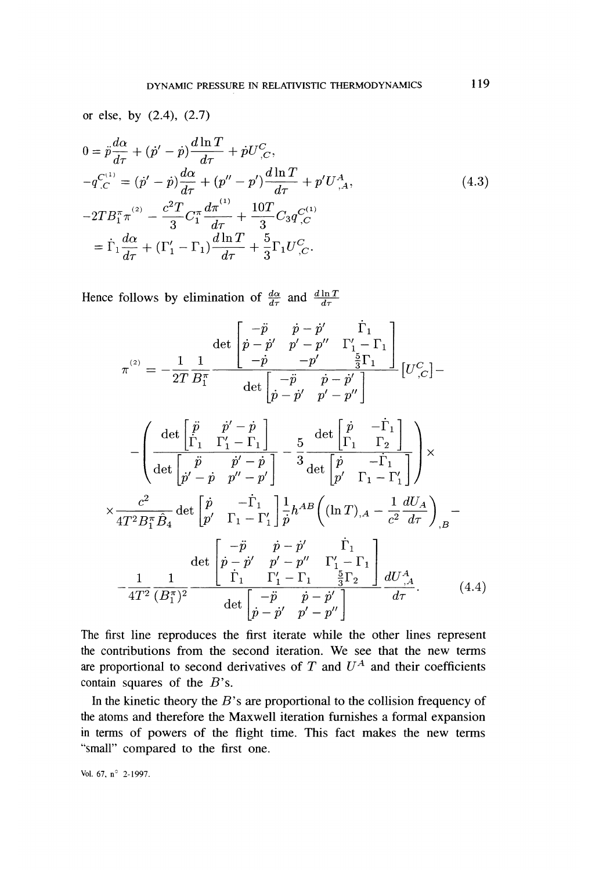or else, by (2.4), (2.7)

$$
0 = \ddot{p}\frac{d\alpha}{d\tau} + (\dot{p}' - \dot{p})\frac{d\ln T}{d\tau} + \dot{p}U_{,C}^C,
$$
  
\n
$$
-q_{,C}^{(1)} = (\dot{p}' - \dot{p})\frac{d\alpha}{d\tau} + (p'' - p')\frac{d\ln T}{d\tau} + p'U_{,A}^A,
$$
  
\n
$$
-2TB_1^{\pi} \pi^{(2)} - \frac{c^2 T}{3} C_1^{\pi} \frac{d\pi^{(1)}}{d\tau} + \frac{10T}{3} C_3 q_{,C}^{C(1)}
$$
  
\n
$$
= \dot{\Gamma}_1 \frac{d\alpha}{d\tau} + (\Gamma'_1 - \Gamma_1)\frac{d\ln T}{d\tau} + \frac{5}{3} \Gamma_1 U_{,C}^C.
$$
\n(4.3)

Hence follows by elimination of  $\frac{d\alpha}{d\tau}$  and  $\frac{d\ln T}{d\tau}$ 

$$
\pi^{^{(2)}} = -\frac{1}{2T}\frac{1}{B_1^{\pi}} \frac{\det\begin{bmatrix} -\ddot{p} & \dot{p} - \dot{p}' & \dot{\Gamma}_1 \\ \dot{p} - \dot{p}' & p' - p'' & \Gamma'_1 - \Gamma_1 \\ -\dot{p} & -p' & \frac{5}{3}\Gamma_1 \end{bmatrix}}{\det\begin{bmatrix} -\ddot{p} & \dot{p} - \dot{p}' \\ \dot{p} - \dot{p}' & p' - p'' \end{bmatrix}} \begin{bmatrix} U^C_{\ ,C} \end{bmatrix} - \\ -\left( \frac{\det\begin{bmatrix} \ddot{p} & \dot{p}' - \dot{p} \\ \dot{\Gamma}_1 & \Gamma'_1 - \Gamma_1 \end{bmatrix}}{\det\begin{bmatrix} \ddot{p} & \dot{p}' - \dot{p} \\ \dot{p}' - \dot{p} & p'' - p' \end{bmatrix}} - \frac{5}{3} \frac{\det\begin{bmatrix} \dot{p} & -\dot{\Gamma}_1 \\ \Gamma_1 & \Gamma_2 \end{bmatrix}}{\det\begin{bmatrix} \dot{p} & -\dot{\Gamma}_1 \\ p' & \Gamma_1 - \Gamma'_1 \end{bmatrix}} \right) \times
$$

$$
\times \frac{c^2}{4T^2B_1^{\pi}\hat{B}_4} \det \begin{bmatrix} \dot{p} & -\dot{\Gamma}_1 \\ p' & \Gamma_1 - \Gamma_1' \end{bmatrix} \frac{1}{\dot{p}} h^{AB} \left( (\ln T)_{,A} - \frac{1}{c^2} \frac{dU_A}{d\tau} \right)_{,B} - \det \begin{bmatrix} -\ddot{p} & \dot{p} - \dot{p}' & \dot{\Gamma}_1 \\ \dot{p} - \dot{p}' & p' - p'' & \Gamma_1' - \Gamma_1 \\ \dot{\Gamma}_1 & \Gamma_1' - \Gamma_1 & \frac{5}{3}\Gamma_2 \end{bmatrix} \frac{dU_{,A}^A}{d\tau}.
$$
 (4.4)

The first line reproduces the first iterate while the other lines represent the contributions from the second iteration. We see that the new terms are proportional to second derivatives of  $T$  and  $U^A$  and their coefficients contain squares of the  $B$ 's.

In the kinetic theory the  $B$ 's are proportional to the collision frequency of the atoms and therefore the Maxwell iteration furnishes a formal expansion in terms of powers of the flight time. This fact makes the new terms "small" compared to the first one.

Vol. 67, n° 2-1997.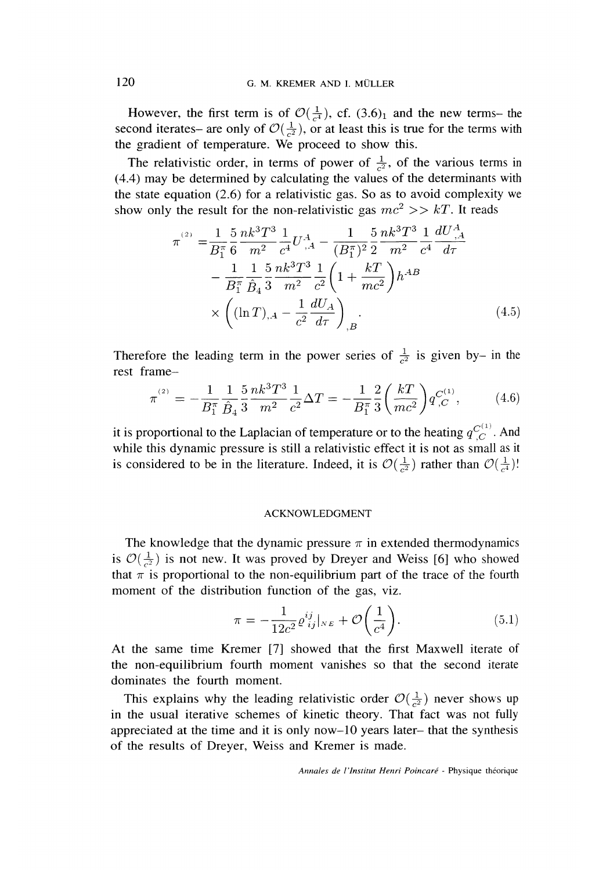However, the first term is of  $\mathcal{O}(\frac{1}{c^4})$ , cf. (3.6)<sub>1</sub> and the new terms- the second iterates- are only of  $\mathcal{O}(\frac{1}{c^2})$ , or at least this is true for the terms with the gradient of temperature. We proceed to show this.

The relativistic order, in terms of power of  $\frac{1}{62}$ , of the various terms in (4.4) may be determined by calculating the values of the determinants with the state equation (2.6) for a relativistic gas. So as to avoid complexity we show only the result for the non-relativistic gas  $mc^2 >> kT$ . It reads

$$
\pi^{(2)} = \frac{1}{B_1^{\pi}} \frac{5}{6} \frac{nk^3 T^3}{m^2} \frac{1}{c^4} U^{A}_{,A} - \frac{1}{(B_1^{\pi})^2} \frac{5}{2} \frac{nk^3 T^3}{m^2} \frac{1}{c^4} \frac{dU^{A}_{,A}}{d\tau} \n- \frac{1}{B_1^{\pi}} \frac{1}{\hat{B}_4} \frac{5}{3} \frac{nk^3 T^3}{m^2} \frac{1}{c^2} \left(1 + \frac{kT}{mc^2}\right) h^{AB} \n\times \left( (\ln T)_{,A} - \frac{1}{c^2} \frac{dU_A}{d\tau} \right)_{,B}.
$$
\n(4.5)

Therefore the leading term in the power series of  $\frac{1}{c^2}$  is given by- in the rest frame-

$$
\pi^{^{(2)}} = -\frac{1}{B_1^{\pi}} \frac{1}{\hat{B}_4} \frac{5}{3} \frac{nk^3 T^3}{m^2} \frac{1}{c^2} \Delta T = -\frac{1}{B_1^{\pi}} \frac{2}{3} \left(\frac{kT}{mc^2}\right) q^{C^{(1)}}_{,C},\tag{4.6}
$$

it is proportional to the Laplacian of temperature or to the heating  $q_C^{(1)}$ . And while this dynamic pressure is still a relativistic effect it is not as small as it is considered to be in the literature. Indeed, it is  $\mathcal{O}(\frac{1}{\epsilon^2})$  rather than  $\mathcal{O}(\frac{1}{\epsilon^4})$ !

#### ACKNOWLEDGMENT

The knowledge that the dynamic pressure  $\pi$  in extended thermodynamics is  $\mathcal{O}(\frac{1}{c^2})$  is not new. It was proved by Dreyer and Weiss [6] who showed that  $\pi$  is proportional to the non-equilibrium part of the trace of the fourth moment of the distribution function of the gas, viz.

$$
\pi = -\frac{1}{12c^2} \varrho_{ij}^{ij}|_{N_E} + \mathcal{O}\left(\frac{1}{c^4}\right). \tag{5.1}
$$

At the same time Kremer [7] showed that the first Maxwell iterate of the non-equilibrium fourth moment vanishes so that the second iterate dominates the fourth moment.

This explains why the leading relativistic order  $\mathcal{O}(\frac{1}{\epsilon^2})$  never shows up in the usual iterative schemes of kinetic theory. That fact was not fully appreciated at the time and it is only now-10 years later- that the synthesis of the results of Dreyer, Weiss and Kremer is made.